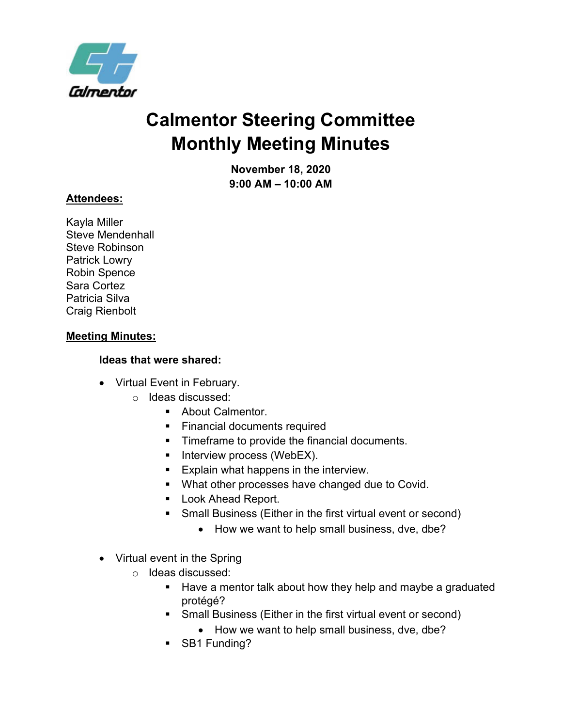

## **Monthly Meeting Minutes Calmentor Steering Committee**

 **9:00 AM – 10:00 AM November 18, 2020** 

## **Attendees:**

 Robin Spence Sara Cortez Kayla Miller Steve Mendenhall Steve Robinson Patrick Lowry Patricia Silva Craig Rienbolt

## **Meeting Minutes:**

## **Ideas that were shared:**

- Virtual Event in February.
	- o Ideas discussed:
		- **About Calmentor.**
		- **Financial documents required**
		- **Timeframe to provide the financial documents.**
		- **Interview process (WebEX).**
		- **Explain what happens in the interview.**
		- **What other processes have changed due to Covid.**
		- **Look Ahead Report.**
		- Small Business (Either in the first virtual event or second)
			- How we want to help small business, dve, dbe?
- Virtual event in the Spring
	- o Ideas discussed:
		- **Have a mentor talk about how they help and maybe a graduated** protégé?
		- Small Business (Either in the first virtual event or second)
			- How we want to help small business, dve, dbe?
		- SB1 Funding?